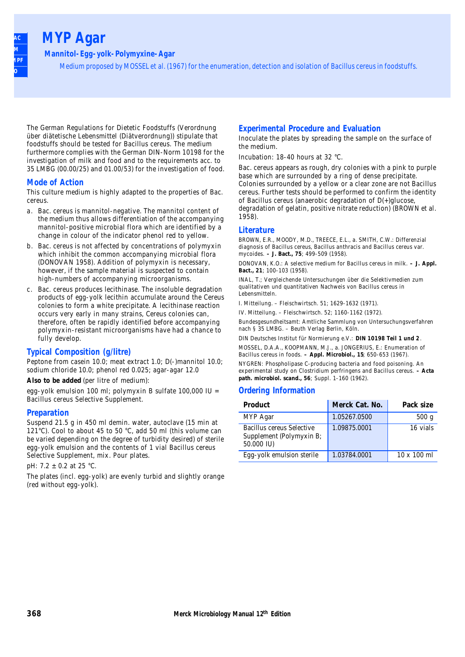## **MYP Agar**

**AOAC BAM COMPRE ISO**

**Mannitol-Egg-yolk-Polymyxine-Agar**

Medium proposed by MOSSEL et al. (1967) for the enumeration, detection and isolation of Bacillus cereus in foodstuffs.

The German Regulations for Dietetic Foodstuffs (Verordnung über diätetische Lebensmittel (Diätverordnung)) stipulate that foodstuffs should be tested for Bacillus cereus. The medium furthermore complies with the German DIN-Norm 10198 for the investigation of milk and food and to the requirements acc. to 35 LMBG (00.00/25) and 01.00/53) for the investigation of food.

#### **Mode of Action**

This culture medium is highly adapted to the properties of Bac. cereus.

- a. Bac. cereus is mannitol-negative. The mannitol content of the medium thus allows differentiation of the accompanying mannitol-positive microbial flora which are identified by a change in colour of the indicator phenol red to yellow.
- b. Bac. cereus is not affected by concentrations of polymyxin which inhibit the common accompanying microbial flora (DONOVAN 1958). Addition of polymyxin is necessary, however, if the sample material is suspected to contain high-numbers of accompanying microorganisms.
- c. Bac. cereus produces lecithinase. The insoluble degradation products of egg-yolk lecithin accumulate around the Cereus colonies to form a white precipitate. A lecithinase reaction occurs very early in many strains, Cereus colonies can, therefore, often be rapidly identified before accompanying polymyxin-resistant microorganisms have had a chance to fully develop.

#### **Typical Composition (g/litre)**

Peptone from casein 10.0; meat extract 1.0; D(-)mannitol 10.0; sodium chloride 10.0; phenol red 0.025; agar-agar 12.0

**Also to be added** (per litre of medium):

egg-yolk emulsion 100 ml; polymyxin B sulfate 100,000 IU = Bacillus cereus Selective Supplement.

#### **Preparation**

Suspend 21.5 g in 450 ml demin. water, autoclave (15 min at 121°C). Cool to about 45 to 50 °C, add 50 ml (this volume can be varied depending on the degree of turbidity desired) of sterile egg-yolk emulsion and the contents of 1 vial Bacillus cereus Selective Supplement, mix. Pour plates.

pH: 7.2 ± 0.2 at 25 °C.

The plates (incl. egg-yolk) are evenly turbid and slightly orange (red without egg-yolk).

#### **Experimental Procedure and Evaluation**

Inoculate the plates by spreading the sample on the surface of the medium.

Incubation: 18-40 hours at 32 °C.

Bac. cereus appears as rough, dry colonies with a pink to purple base which are surrounded by a ring of dense precipitate. Colonies surrounded by a yellow or a clear zone are not Bacillus cereus. Further tests should be performed to confirm the identity of Bacillus cereus (anaerobic degradation of D(+)glucose, degradation of gelatin, positive nitrate reduction) (BROWN et al. 1958).

#### **Literature**

BROWN, E.R., MOODY, M.D., TREECE, E.L., a. SMITH, C.W.: Differenzial diagnosis of Bacillus cereus, Bacillus anthracis and Bacillus cereus var. mycoides. **– J. Bact., 75**; 499-509 (1958).

DONOVAN, K.O.: A selective medium for Bacillus cereus in milk. **– J. Appl. Bact., 21**; 100-103 (1958).

INAL, T.; Vergleichende Untersuchungen über die Selektivmedien zum qualitativen und quantitativen Nachweis von Bacillus cereus in Lebensmitteln.

I. Mitteilung. – Fleischwirtsch. 51; 1629-1632 (1971).

IV. Mitteilung. – Fleischwirtsch. 52; 1160-1162 (1972).

Bundesgesundheitsamt: Amtliche Sammlung von Untersuchungsverfahren nach § 35 LMBG. – Beuth Verlag Berlin, Köln.

DIN Deutsches Institut für Normierung e.V.: **DIN 10198 Teil 1 und 2**.

MOSSEL, D.A.A., KOOPMANN, M.J., a. JONGERIUS, E.: Enumeration of Bacillus cereus in foods. **– Appl. Microbiol., 15**; 650-653 (1967).

NYGREN: Phospholipase C-producing bacteria and food poisoning. An experimental study on Clostridium perfringens and Bacillus cereus. **– Acta path. microbiol. scand., 56**; Suppl. 1-160 (1962).

#### **Ordering Information**

| <b>Product</b>                                                      | Merck Cat. No. | Pack size          |
|---------------------------------------------------------------------|----------------|--------------------|
| MYP Agar                                                            | 1.05267.0500   | 500q               |
| Bacillus cereus Selective<br>Supplement (Polymyxin B;<br>50.000 IU) | 1.09875.0001   | 16 vials           |
| Egg-yolk emulsion sterile                                           | 1.03784.0001   | $10 \times 100$ ml |